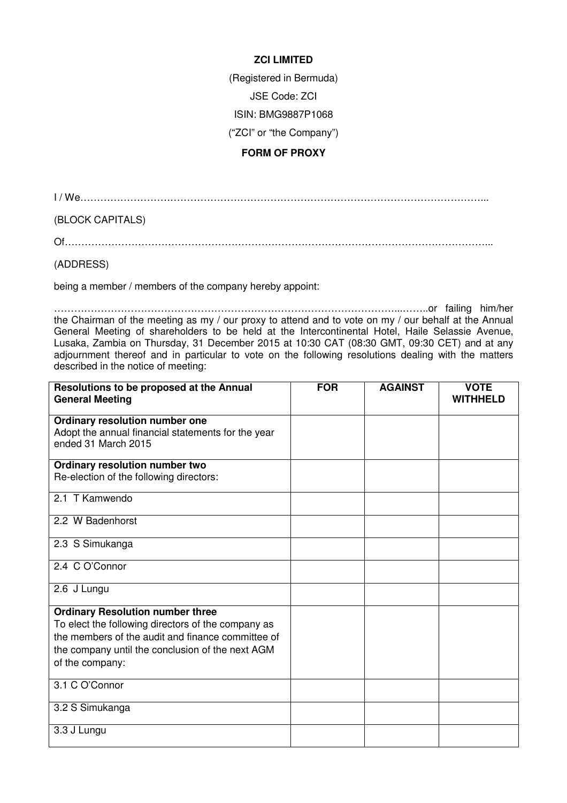## **ZCI LIMITED**

(Registered in Bermuda)

JSE Code: ZCI

ISIN: BMG9887P1068

("ZCI" or "the Company")

## **FORM OF PROXY**

I / We…………………………………………………………………………………………………………...

(BLOCK CAPITALS)

Of………………………………………………………………………………………………………………...

(ADDRESS)

being a member / members of the company hereby appoint:

…………………………………………………………………………………………...……..or failing him/her the Chairman of the meeting as my / our proxy to attend and to vote on my / our behalf at the Annual General Meeting of shareholders to be held at the Intercontinental Hotel, Haile Selassie Avenue, Lusaka, Zambia on Thursday, 31 December 2015 at 10:30 CAT (08:30 GMT, 09:30 CET) and at any adjournment thereof and in particular to vote on the following resolutions dealing with the matters described in the notice of meeting:

| Resolutions to be proposed at the Annual<br><b>General Meeting</b>                                                                                                                                                        | <b>FOR</b> | <b>AGAINST</b> | <b>VOTE</b><br><b>WITHHELD</b> |
|---------------------------------------------------------------------------------------------------------------------------------------------------------------------------------------------------------------------------|------------|----------------|--------------------------------|
| Ordinary resolution number one<br>Adopt the annual financial statements for the year<br>ended 31 March 2015                                                                                                               |            |                |                                |
| Ordinary resolution number two<br>Re-election of the following directors:                                                                                                                                                 |            |                |                                |
| 2.1 T Kamwendo                                                                                                                                                                                                            |            |                |                                |
| 2.2 W Badenhorst                                                                                                                                                                                                          |            |                |                                |
| 2.3 S Simukanga                                                                                                                                                                                                           |            |                |                                |
| 2.4 C O'Connor                                                                                                                                                                                                            |            |                |                                |
| 2.6 J Lungu                                                                                                                                                                                                               |            |                |                                |
| <b>Ordinary Resolution number three</b><br>To elect the following directors of the company as<br>the members of the audit and finance committee of<br>the company until the conclusion of the next AGM<br>of the company: |            |                |                                |
| 3.1 C O'Connor                                                                                                                                                                                                            |            |                |                                |
| 3.2 S Simukanga                                                                                                                                                                                                           |            |                |                                |
| 3.3 J Lungu                                                                                                                                                                                                               |            |                |                                |